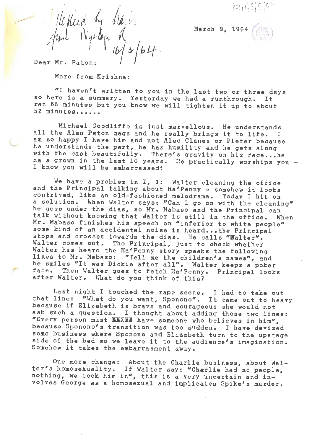

March 9, 1964

,.

C

1/16 placed by havis  $\wedge$  '\compare  $\vee$  $\frac{1}{3}$   $64$ .

Dear Mr. Paton:

'-

,-

More from Krishna:

"I haven't written to you in the last two or three days so here is a summary. Yesterday we had a runthrough. It ran 66 minutes but you know we will tighten it up to about 52 minutes......

Michael Goodliffe is just marvellous. He understands all the Alan Paton gags and he really brings it to life. I am so happy I have him and not Alec Clunes or Pieter because he understands the part, he has humility and he gets along with the cast beautifully. There's gravity on his face...he ha s grown in the last 10 years. He practically worships you -I know you will be embarrassed!

We have a problem in I, 3: Walter cleaning the office and the Principal talking about Ha'Penny - somehow it looks contrived, like an old-fashioned melodrama. Today I hit on a solution. When Walter **says:** "Can I go on with the cleaning" he goes under the dias, so Mr. Mabaso and the Principal can talk without knowing that Walter is still in the office. When Mr. Mabaso finishes his speech on "inferior to white people" some kind of an accidental noise is heard...the Principal stops and crosses towards the dias. He calls **"Walter".**  Walter comes out. The Principal, just to check whether Walter has heard the Ha'Penny story speaks the following lines to Mr. Mabaso: "Tell me the children's names", and he smiles "It was Dickie after all". Walter keeps a poker face. Then Walter goes to fetch Ha'Penny. Principal looks after Walter. What do you think of this?

Last night I touched the rape scene. I had to take out that line: "What do you want, Sponono". It came out to heavy because if Elizabeth is brave and courageous she would not ask such a question. I thought about adding those two lines: NEvery person must **KIXili** have someone who believes in him'', because Sponono's transition was too sudden. I have devised some business where Sponono and Elizabeth turn to the upstage side of the bed so we leave it to the audience's imagination. Somehow it takes the embarrasment away.

One more change: About the Charlie business, about Walter's homosexuality. If Walter says "Charlie had no people, nothing, we took him in", this is a very uncertain and involves George as a homosexual and implicates Spike's murder.